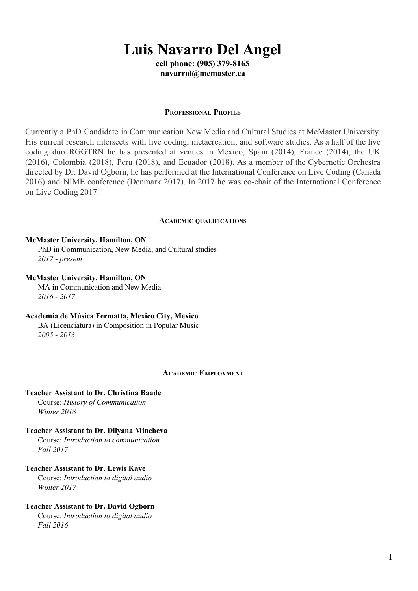# **Luis Navarro Del Angel**

**cell phone: (905) 379-8165 navarrol@mcmaster.ca**

#### **PROFESSIONAL PROFILE**

Currently a PhD Candidate in Communication New Media and Cultural Studies at McMaster University. His current research intersects with live coding, metacreation, and software studies. As a half of the live coding duo RGGTRN he has presented at venues in Mexico, Spain (2014), France (2014), the UK (2016), Colombia (2018), Peru (2018), and Ecuador (2018). As a member of the Cybernetic Orchestra directed by Dr. David Ogborn, he has performed at the International Conference on Live Coding (Canada 2016) and NIME conference (Denmark 2017). In 2017 he was co-chair of the International Conference on Live Coding 2017.

#### **ACADEMIC QUALIFICATIONS**

#### **McMaster University, Hamilton, ON**

PhD in Communication, New Media, and Cultural studies *2017 - present*

## **McMaster University, Hamilton, ON**

MA in Communication and New Media *2016 - 2017*

# **Academia de Música Fermatta, Mexico City, Mexico**

BA (Licenciatura) in Composition in Popular Music *2005 - 2013*

#### **ACADEMIC EMPLOYMENT**

## **Teacher Assistant to Dr. Christina Baade**

Course: *History of Communication Winter 2018*

# **Teacher Assistant to Dr. Dilyana Mincheva**

Course: *Introduction to communication Fall 2017*

# **Teacher Assistant to Dr. Lewis Kaye**

Course: *Introduction to digital audio Winter 2017*

# **Teacher Assistant to Dr. David Ogborn**

Course: *Introduction to digital audio Fall 2016*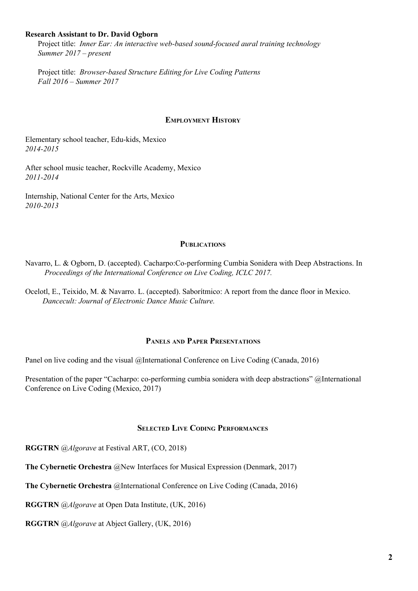# **Research Assistant to Dr. David Ogborn**

Project title: *Inner Ear: An interactive web-based sound-focused aural training technology Summer 2017 – present*

Project title: *Browser-based Structure Editing for Live Coding Patterns Fall 2016 – Summer 2017*

## **EMPLOYMENT HISTORY**

Elementary school teacher, Edu-kids, Mexico *2014-2015*

After school music teacher, Rockville Academy, Mexico *2011-2014*

Internship, National Center for the Arts, Mexico *2010-2013*

## **PUBLICATIONS**

Navarro, L. & Ogborn, D. (accepted). Cacharpo:Co-performing Cumbia Sonidera with Deep Abstractions. In *Proceedings of the International Conference on Live Coding, ICLC 2017.*

Ocelotl, E., Teixido, M. & Navarro. L. (accepted). Saborítmico: A report from the dance floor in Mexico. *Dancecult: Journal of Electronic Dance Music Culture.*

## **PANELS AND PAPER PRESENTATIONS**

Panel on live coding and the visual @International Conference on Live Coding (Canada, 2016)

Presentation of the paper "Cacharpo: co-performing cumbia sonidera with deep abstractions" @International Conference on Live Coding (Mexico, 2017)

# **SELECTED LIVE CODING PERFORMANCES**

**RGGTRN** @*Algorave* at Festival ART, (CO, 2018)

**The Cybernetic Orchestra** @New Interfaces for Musical Expression (Denmark, 2017)

**The Cybernetic Orchestra** @International Conference on Live Coding (Canada, 2016)

**RGGTRN** @*Algorave* at Open Data Institute, (UK, 2016)

**RGGTRN** @*Algorave* at Abject Gallery, (UK, 2016)